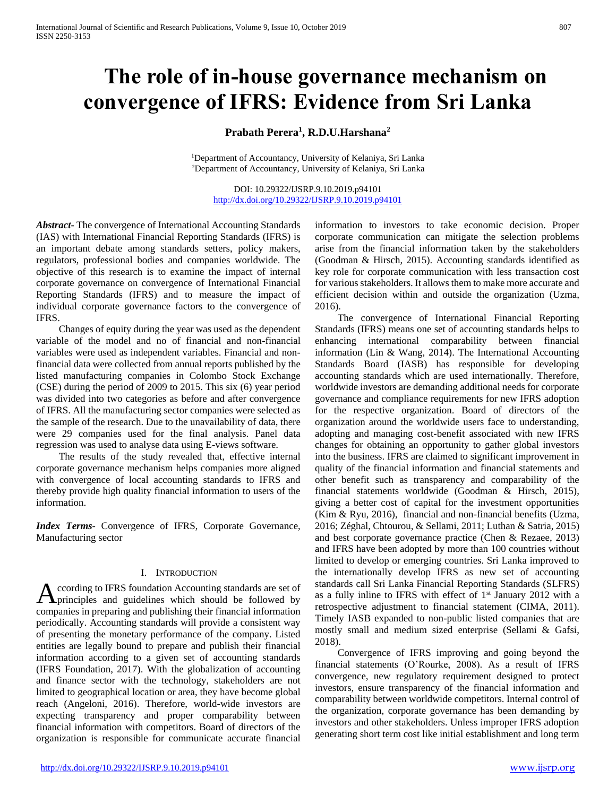# **The role of in-house governance mechanism on convergence of IFRS: Evidence from Sri Lanka**

**Prabath Perera<sup>1</sup> , R.D.U.Harshana<sup>2</sup>**

<sup>1</sup>Department of Accountancy, University of Kelaniya, Sri Lanka <sup>2</sup>Department of Accountancy, University of Kelaniya, Sri Lanka

DOI: 10.29322/IJSRP.9.10.2019.p94101 <http://dx.doi.org/10.29322/IJSRP.9.10.2019.p94101>

*Abstract***-** The convergence of International Accounting Standards (IAS) with International Financial Reporting Standards (IFRS) is an important debate among standards setters, policy makers, regulators, professional bodies and companies worldwide. The objective of this research is to examine the impact of internal corporate governance on convergence of International Financial Reporting Standards (IFRS) and to measure the impact of individual corporate governance factors to the convergence of IFRS.

 Changes of equity during the year was used as the dependent variable of the model and no of financial and non-financial variables were used as independent variables. Financial and nonfinancial data were collected from annual reports published by the listed manufacturing companies in Colombo Stock Exchange (CSE) during the period of 2009 to 2015. This six (6) year period was divided into two categories as before and after convergence of IFRS. All the manufacturing sector companies were selected as the sample of the research. Due to the unavailability of data, there were 29 companies used for the final analysis. Panel data regression was used to analyse data using E-views software.

 The results of the study revealed that, effective internal corporate governance mechanism helps companies more aligned with convergence of local accounting standards to IFRS and thereby provide high quality financial information to users of the information.

*Index Terms*- Convergence of IFRS, Corporate Governance, Manufacturing sector

#### I. INTRODUCTION

ccording to IFRS foundation Accounting standards are set of principles and guidelines which should be followed by companies in preparing and publishing their financial information periodically. Accounting standards will provide a consistent way of presenting the monetary performance of the company. Listed entities are legally bound to prepare and publish their financial information according to a given set of accounting standards (IFRS Foundation, 2017). With the globalization of accounting and finance sector with the technology, stakeholders are not limited to geographical location or area, they have become global reach (Angeloni, 2016). Therefore, world-wide investors are expecting transparency and proper comparability between financial information with competitors. Board of directors of the organization is responsible for communicate accurate financial A

information to investors to take economic decision. Proper corporate communication can mitigate the selection problems arise from the financial information taken by the stakeholders (Goodman & Hirsch, 2015). Accounting standards identified as key role for corporate communication with less transaction cost for various stakeholders. It allows them to make more accurate and efficient decision within and outside the organization (Uzma, 2016).

 The convergence of International Financial Reporting Standards (IFRS) means one set of accounting standards helps to enhancing international comparability between financial information (Lin & Wang, 2014). The International Accounting Standards Board (IASB) has responsible for developing accounting standards which are used internationally. Therefore, worldwide investors are demanding additional needs for corporate governance and compliance requirements for new IFRS adoption for the respective organization. Board of directors of the organization around the worldwide users face to understanding, adopting and managing cost-benefit associated with new IFRS changes for obtaining an opportunity to gather global investors into the business. IFRS are claimed to significant improvement in quality of the financial information and financial statements and other benefit such as transparency and comparability of the financial statements worldwide (Goodman & Hirsch, 2015), giving a better cost of capital for the investment opportunities (Kim & Ryu, 2016), financial and non-financial benefits (Uzma, 2016; Zéghal, Chtourou, & Sellami, 2011; Luthan & Satria, 2015) and best corporate governance practice (Chen & Rezaee, 2013) and IFRS have been adopted by more than 100 countries without limited to develop or emerging countries. Sri Lanka improved to the internationally develop IFRS as new set of accounting standards call Sri Lanka Financial Reporting Standards (SLFRS) as a fully inline to IFRS with effect of 1st January 2012 with a retrospective adjustment to financial statement (CIMA, 2011). Timely IASB expanded to non-public listed companies that are mostly small and medium sized enterprise (Sellami & Gafsi, 2018).

 Convergence of IFRS improving and going beyond the financial statements (O'Rourke, 2008). As a result of IFRS convergence, new regulatory requirement designed to protect investors, ensure transparency of the financial information and comparability between worldwide competitors. Internal control of the organization, corporate governance has been demanding by investors and other stakeholders. Unless improper IFRS adoption generating short term cost like initial establishment and long term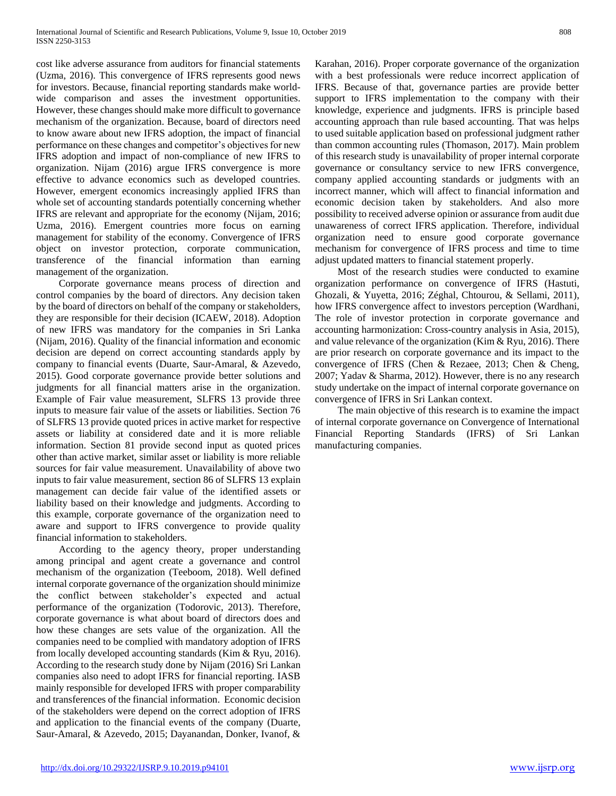cost like adverse assurance from auditors for financial statements (Uzma, 2016). This convergence of IFRS represents good news for investors. Because, financial reporting standards make worldwide comparison and asses the investment opportunities. However, these changes should make more difficult to governance mechanism of the organization. Because, board of directors need to know aware about new IFRS adoption, the impact of financial performance on these changes and competitor's objectives for new IFRS adoption and impact of non-compliance of new IFRS to organization. Nijam (2016) argue IFRS convergence is more effective to advance economics such as developed countries. However, emergent economics increasingly applied IFRS than whole set of accounting standards potentially concerning whether IFRS are relevant and appropriate for the economy (Nijam, 2016; Uzma, 2016). Emergent countries more focus on earning management for stability of the economy. Convergence of IFRS object on investor protection, corporate communication, transference of the financial information than earning management of the organization.

 Corporate governance means process of direction and control companies by the board of directors. Any decision taken by the board of directors on behalf of the company or stakeholders, they are responsible for their decision (ICAEW, 2018). Adoption of new IFRS was mandatory for the companies in Sri Lanka (Nijam, 2016). Quality of the financial information and economic decision are depend on correct accounting standards apply by company to financial events (Duarte, Saur-Amaral, & Azevedo, 2015). Good corporate governance provide better solutions and judgments for all financial matters arise in the organization. Example of Fair value measurement, SLFRS 13 provide three inputs to measure fair value of the assets or liabilities. Section 76 of SLFRS 13 provide quoted prices in active market for respective assets or liability at considered date and it is more reliable information. Section 81 provide second input as quoted prices other than active market, similar asset or liability is more reliable sources for fair value measurement. Unavailability of above two inputs to fair value measurement, section 86 of SLFRS 13 explain management can decide fair value of the identified assets or liability based on their knowledge and judgments. According to this example, corporate governance of the organization need to aware and support to IFRS convergence to provide quality financial information to stakeholders.

 According to the agency theory, proper understanding among principal and agent create a governance and control mechanism of the organization (Teeboom, 2018). Well defined internal corporate governance of the organization should minimize the conflict between stakeholder's expected and actual performance of the organization (Todorovic, 2013). Therefore, corporate governance is what about board of directors does and how these changes are sets value of the organization. All the companies need to be complied with mandatory adoption of IFRS from locally developed accounting standards (Kim & Ryu, 2016). According to the research study done by Nijam (2016) Sri Lankan companies also need to adopt IFRS for financial reporting. IASB mainly responsible for developed IFRS with proper comparability and transferences of the financial information. Economic decision of the stakeholders were depend on the correct adoption of IFRS and application to the financial events of the company (Duarte, Saur-Amaral, & Azevedo, 2015; Dayanandan, Donker, Ivanof, & Karahan, 2016). Proper corporate governance of the organization with a best professionals were reduce incorrect application of IFRS. Because of that, governance parties are provide better support to IFRS implementation to the company with their knowledge, experience and judgments. IFRS is principle based accounting approach than rule based accounting. That was helps to used suitable application based on professional judgment rather than common accounting rules (Thomason, 2017). Main problem of this research study is unavailability of proper internal corporate governance or consultancy service to new IFRS convergence, company applied accounting standards or judgments with an incorrect manner, which will affect to financial information and economic decision taken by stakeholders. And also more possibility to received adverse opinion or assurance from audit due unawareness of correct IFRS application. Therefore, individual organization need to ensure good corporate governance mechanism for convergence of IFRS process and time to time adjust updated matters to financial statement properly.

 Most of the research studies were conducted to examine organization performance on convergence of IFRS (Hastuti, Ghozali, & Yuyetta, 2016; Zéghal, Chtourou, & Sellami, 2011), how IFRS convergence affect to investors perception (Wardhani, The role of investor protection in corporate governance and accounting harmonization: Cross-country analysis in Asia, 2015), and value relevance of the organization (Kim & Ryu, 2016). There are prior research on corporate governance and its impact to the convergence of IFRS (Chen & Rezaee, 2013; Chen & Cheng, 2007; Yadav & Sharma, 2012). However, there is no any research study undertake on the impact of internal corporate governance on convergence of IFRS in Sri Lankan context.

 The main objective of this research is to examine the impact of internal corporate governance on Convergence of International Financial Reporting Standards (IFRS) of Sri Lankan manufacturing companies.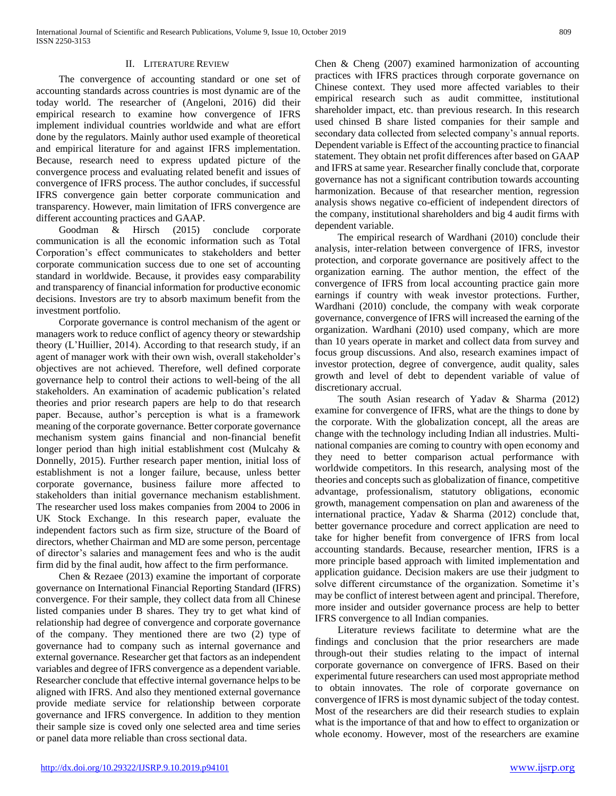### II. LITERATURE REVIEW

 The convergence of accounting standard or one set of accounting standards across countries is most dynamic are of the today world. The researcher of (Angeloni, 2016) did their empirical research to examine how convergence of IFRS implement individual countries worldwide and what are effort done by the regulators. Mainly author used example of theoretical and empirical literature for and against IFRS implementation. Because, research need to express updated picture of the convergence process and evaluating related benefit and issues of convergence of IFRS process. The author concludes, if successful IFRS convergence gain better corporate communication and transparency. However, main limitation of IFRS convergence are different accounting practices and GAAP.

 Goodman & Hirsch (2015) conclude corporate communication is all the economic information such as Total Corporation's effect communicates to stakeholders and better corporate communication success due to one set of accounting standard in worldwide. Because, it provides easy comparability and transparency of financial information for productive economic decisions. Investors are try to absorb maximum benefit from the investment portfolio.

 Corporate governance is control mechanism of the agent or managers work to reduce conflict of agency theory or stewardship theory (L'Huillier, 2014). According to that research study, if an agent of manager work with their own wish, overall stakeholder's objectives are not achieved. Therefore, well defined corporate governance help to control their actions to well-being of the all stakeholders. An examination of academic publication's related theories and prior research papers are help to do that research paper. Because, author's perception is what is a framework meaning of the corporate governance. Better corporate governance mechanism system gains financial and non-financial benefit longer period than high initial establishment cost (Mulcahy & Donnelly, 2015). Further research paper mention, initial loss of establishment is not a longer failure, because, unless better corporate governance, business failure more affected to stakeholders than initial governance mechanism establishment. The researcher used loss makes companies from 2004 to 2006 in UK Stock Exchange. In this research paper, evaluate the independent factors such as firm size, structure of the Board of directors, whether Chairman and MD are some person, percentage of director's salaries and management fees and who is the audit firm did by the final audit, how affect to the firm performance.

 Chen & Rezaee (2013) examine the important of corporate governance on International Financial Reporting Standard (IFRS) convergence. For their sample, they collect data from all Chinese listed companies under B shares. They try to get what kind of relationship had degree of convergence and corporate governance of the company. They mentioned there are two (2) type of governance had to company such as internal governance and external governance. Researcher get that factors as an independent variables and degree of IFRS convergence as a dependent variable. Researcher conclude that effective internal governance helps to be aligned with IFRS. And also they mentioned external governance provide mediate service for relationship between corporate governance and IFRS convergence. In addition to they mention their sample size is coved only one selected area and time series or panel data more reliable than cross sectional data.

Chen & Cheng (2007) examined harmonization of accounting practices with IFRS practices through corporate governance on Chinese context. They used more affected variables to their empirical research such as audit committee, institutional shareholder impact, etc. than previous research. In this research used chinsed B share listed companies for their sample and secondary data collected from selected company's annual reports. Dependent variable is Effect of the accounting practice to financial statement. They obtain net profit differences after based on GAAP and IFRS at same year. Researcher finally conclude that, corporate governance has not a significant contribution towards accounting harmonization. Because of that researcher mention, regression analysis shows negative co-efficient of independent directors of the company, institutional shareholders and big 4 audit firms with dependent variable.

 The empirical research of Wardhani (2010) conclude their analysis, inter-relation between convergence of IFRS, investor protection, and corporate governance are positively affect to the organization earning. The author mention, the effect of the convergence of IFRS from local accounting practice gain more earnings if country with weak investor protections. Further, Wardhani (2010) conclude, the company with weak corporate governance, convergence of IFRS will increased the earning of the organization. Wardhani (2010) used company, which are more than 10 years operate in market and collect data from survey and focus group discussions. And also, research examines impact of investor protection, degree of convergence, audit quality, sales growth and level of debt to dependent variable of value of discretionary accrual.

 The south Asian research of Yadav & Sharma (2012) examine for convergence of IFRS, what are the things to done by the corporate. With the globalization concept, all the areas are change with the technology including Indian all industries. Multinational companies are coming to country with open economy and they need to better comparison actual performance with worldwide competitors. In this research, analysing most of the theories and concepts such as globalization of finance, competitive advantage, professionalism, statutory obligations, economic growth, management compensation on plan and awareness of the international practice, Yadav & Sharma (2012) conclude that, better governance procedure and correct application are need to take for higher benefit from convergence of IFRS from local accounting standards. Because, researcher mention, IFRS is a more principle based approach with limited implementation and application guidance. Decision makers are use their judgment to solve different circumstance of the organization. Sometime it's may be conflict of interest between agent and principal. Therefore, more insider and outsider governance process are help to better IFRS convergence to all Indian companies.

 Literature reviews facilitate to determine what are the findings and conclusion that the prior researchers are made through-out their studies relating to the impact of internal corporate governance on convergence of IFRS. Based on their experimental future researchers can used most appropriate method to obtain innovates. The role of corporate governance on convergence of IFRS is most dynamic subject of the today contest. Most of the researchers are did their research studies to explain what is the importance of that and how to effect to organization or whole economy. However, most of the researchers are examine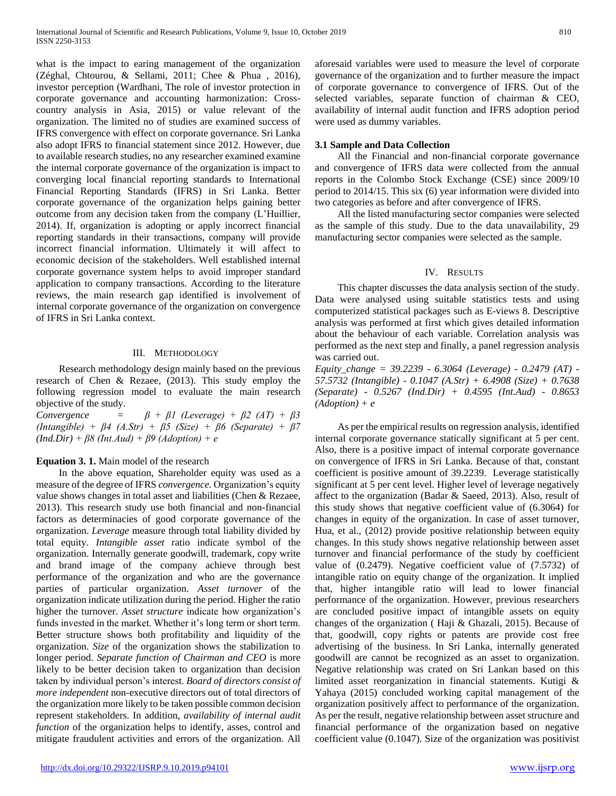what is the impact to earing management of the organization (Zéghal, Chtourou, & Sellami, 2011; Chee & Phua , 2016), investor perception (Wardhani, The role of investor protection in corporate governance and accounting harmonization: Crosscountry analysis in Asia, 2015) or value relevant of the organization. The limited no of studies are examined success of IFRS convergence with effect on corporate governance. Sri Lanka also adopt IFRS to financial statement since 2012. However, due to available research studies, no any researcher examined examine the internal corporate governance of the organization is impact to converging local financial reporting standards to International Financial Reporting Standards (IFRS) in Sri Lanka. Better corporate governance of the organization helps gaining better outcome from any decision taken from the company (L'Huillier, 2014). If, organization is adopting or apply incorrect financial reporting standards in their transactions, company will provide incorrect financial information. Ultimately it will affect to economic decision of the stakeholders. Well established internal corporate governance system helps to avoid improper standard application to company transactions. According to the literature reviews, the main research gap identified is involvement of internal corporate governance of the organization on convergence of IFRS in Sri Lanka context.

#### III. METHODOLOGY

 Research methodology design mainly based on the previous research of Chen & Rezaee, (2013). This study employ the following regression model to evaluate the main research objective of the study.

*Convergence* =  $\beta + \beta I$  (Leverage) +  $\beta$ 2 (AT) +  $\beta$ 3 *(Intangible) + β4 (A.Str) + β5 (Size) + β6 (Separate) + β7 (Ind.Dir) + β8 (Int.Aud) + β9 (Adoption) + e*

#### **Equation 3. 1.** Main model of the research

 In the above equation, Shareholder equity was used as a measure of the degree of IFRS *convergence.* Organization's equity value shows changes in total asset and liabilities (Chen & Rezaee, 2013). This research study use both financial and non-financial factors as determinacies of good corporate governance of the organization. *Leverage* measure through total liability divided by total equity. *Intangible asset* ratio indicate symbol of the organization. Internally generate goodwill, trademark, copy write and brand image of the company achieve through best performance of the organization and who are the governance parties of particular organization. *Asset turnover* of the organization indicate utilization during the period. Higher the ratio higher the turnover. *Asset structure* indicate how organization's funds invested in the market. Whether it's long term or short term. Better structure shows both profitability and liquidity of the organization. *Size* of the organization shows the stabilization to longer period. *Separate function of Chairman and CEO* is more likely to be better decision taken to organization than decision taken by individual person's interest. *Board of directors consist of more independent* non-executive directors out of total directors of the organization more likely to be taken possible common decision represent stakeholders. In addition, *availability of internal audit function* of the organization helps to identify, asses, control and mitigate fraudulent activities and errors of the organization. All aforesaid variables were used to measure the level of corporate governance of the organization and to further measure the impact of corporate governance to convergence of IFRS. Out of the selected variables, separate function of chairman & CEO, availability of internal audit function and IFRS adoption period were used as dummy variables.

#### **3.1 Sample and Data Collection**

 All the Financial and non-financial corporate governance and convergence of IFRS data were collected from the annual reports in the Colombo Stock Exchange (CSE) since 2009/10 period to 2014/15. This six (6) year information were divided into two categories as before and after convergence of IFRS.

 All the listed manufacturing sector companies were selected as the sample of this study. Due to the data unavailability, 29 manufacturing sector companies were selected as the sample.

#### IV. RESULTS

 This chapter discusses the data analysis section of the study. Data were analysed using suitable statistics tests and using computerized statistical packages such as E-views 8. Descriptive analysis was performed at first which gives detailed information about the behaviour of each variable. Correlation analysis was performed as the next step and finally, a panel regression analysis was carried out.

*Equity\_change = 39.2239 - 6.3064 (Leverage) - 0.2479 (AT) - 57.5732 (Intangible) - 0.1047 (A.Str) + 6.4908 (Size) + 0.7638 (Separate) - 0.5267 (Ind.Dir) + 0.4595 (Int.Aud) - 0.8653 (Adoption) + e*

 As per the empirical results on regression analysis, identified internal corporate governance statically significant at 5 per cent. Also, there is a positive impact of internal corporate governance on convergence of IFRS in Sri Lanka. Because of that, constant coefficient is positive amount of 39.2239. Leverage statistically significant at 5 per cent level. Higher level of leverage negatively affect to the organization (Badar & Saeed, 2013). Also, result of this study shows that negative coefficient value of (6.3064) for changes in equity of the organization. In case of asset turnover, Hua, et al., (2012) provide positive relationship between equity changes. In this study shows negative relationship between asset turnover and financial performance of the study by coefficient value of (0.2479). Negative coefficient value of (7.5732) of intangible ratio on equity change of the organization. It implied that, higher intangible ratio will lead to lower financial performance of the organization. However, previous researchers are concluded positive impact of intangible assets on equity changes of the organization ( Haji & Ghazali, 2015). Because of that, goodwill, copy rights or patents are provide cost free advertising of the business. In Sri Lanka, internally generated goodwill are cannot be recognized as an asset to organization. Negative relationship was crated on Sri Lankan based on this limited asset reorganization in financial statements. Kutigi & Yahaya (2015) concluded working capital management of the organization positively affect to performance of the organization. As per the result, negative relationship between asset structure and financial performance of the organization based on negative coefficient value (0.1047). Size of the organization was positivist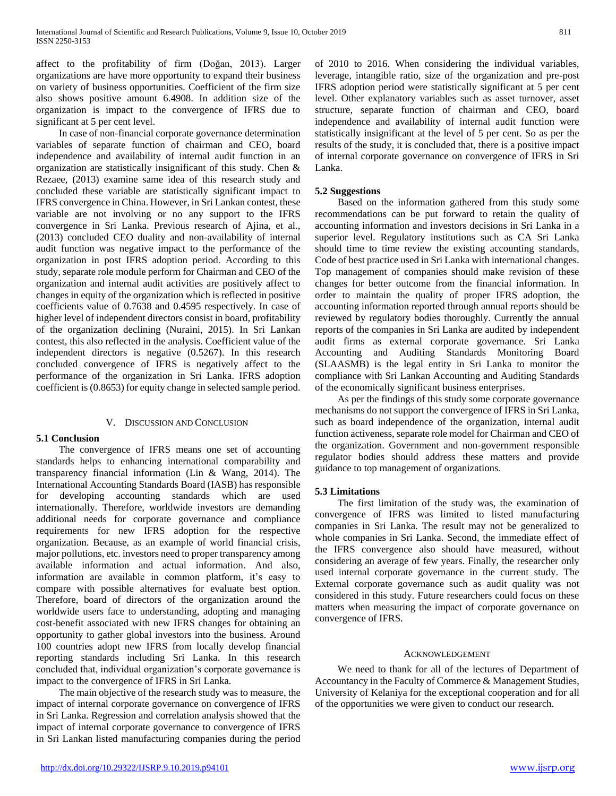affect to the profitability of firm (Doğan, 2013). Larger organizations are have more opportunity to expand their business on variety of business opportunities. Coefficient of the firm size also shows positive amount 6.4908. In addition size of the organization is impact to the convergence of IFRS due to significant at 5 per cent level.

 In case of non-financial corporate governance determination variables of separate function of chairman and CEO, board independence and availability of internal audit function in an organization are statistically insignificant of this study. Chen & Rezaee, (2013) examine same idea of this research study and concluded these variable are statistically significant impact to IFRS convergence in China. However, in Sri Lankan contest, these variable are not involving or no any support to the IFRS convergence in Sri Lanka. Previous research of Ajina, et al., (2013) concluded CEO duality and non-availability of internal audit function was negative impact to the performance of the organization in post IFRS adoption period. According to this study, separate role module perform for Chairman and CEO of the organization and internal audit activities are positively affect to changes in equity of the organization which is reflected in positive coefficients value of 0.7638 and 0.4595 respectively. In case of higher level of independent directors consist in board, profitability of the organization declining (Nuraini, 2015). In Sri Lankan contest, this also reflected in the analysis. Coefficient value of the independent directors is negative (0.5267). In this research concluded convergence of IFRS is negatively affect to the performance of the organization in Sri Lanka. IFRS adoption coefficient is (0.8653) for equity change in selected sample period.

#### V. DISCUSSION AND CONCLUSION

## **5.1 Conclusion**

 The convergence of IFRS means one set of accounting standards helps to enhancing international comparability and transparency financial information (Lin & Wang, 2014). The International Accounting Standards Board (IASB) has responsible for developing accounting standards which are used internationally. Therefore, worldwide investors are demanding additional needs for corporate governance and compliance requirements for new IFRS adoption for the respective organization. Because, as an example of world financial crisis, major pollutions, etc. investors need to proper transparency among available information and actual information. And also, information are available in common platform, it's easy to compare with possible alternatives for evaluate best option. Therefore, board of directors of the organization around the worldwide users face to understanding, adopting and managing cost-benefit associated with new IFRS changes for obtaining an opportunity to gather global investors into the business. Around 100 countries adopt new IFRS from locally develop financial reporting standards including Sri Lanka. In this research concluded that, individual organization's corporate governance is impact to the convergence of IFRS in Sri Lanka.

 The main objective of the research study was to measure, the impact of internal corporate governance on convergence of IFRS in Sri Lanka. Regression and correlation analysis showed that the impact of internal corporate governance to convergence of IFRS in Sri Lankan listed manufacturing companies during the period of 2010 to 2016. When considering the individual variables, leverage, intangible ratio, size of the organization and pre-post IFRS adoption period were statistically significant at 5 per cent level. Other explanatory variables such as asset turnover, asset structure, separate function of chairman and CEO, board independence and availability of internal audit function were statistically insignificant at the level of 5 per cent. So as per the results of the study, it is concluded that, there is a positive impact of internal corporate governance on convergence of IFRS in Sri Lanka.

### **5.2 Suggestions**

 Based on the information gathered from this study some recommendations can be put forward to retain the quality of accounting information and investors decisions in Sri Lanka in a superior level. Regulatory institutions such as CA Sri Lanka should time to time review the existing accounting standards, Code of best practice used in Sri Lanka with international changes. Top management of companies should make revision of these changes for better outcome from the financial information. In order to maintain the quality of proper IFRS adoption, the accounting information reported through annual reports should be reviewed by regulatory bodies thoroughly. Currently the annual reports of the companies in Sri Lanka are audited by independent audit firms as external corporate governance. Sri Lanka Accounting and Auditing Standards Monitoring Board (SLAASMB) is the legal entity in Sri Lanka to monitor the compliance with Sri Lankan Accounting and Auditing Standards of the economically significant business enterprises.

 As per the findings of this study some corporate governance mechanisms do not support the convergence of IFRS in Sri Lanka, such as board independence of the organization, internal audit function activeness, separate role model for Chairman and CEO of the organization. Government and non-government responsible regulator bodies should address these matters and provide guidance to top management of organizations.

#### **5.3 Limitations**

 The first limitation of the study was, the examination of convergence of IFRS was limited to listed manufacturing companies in Sri Lanka. The result may not be generalized to whole companies in Sri Lanka. Second, the immediate effect of the IFRS convergence also should have measured, without considering an average of few years. Finally, the researcher only used internal corporate governance in the current study. The External corporate governance such as audit quality was not considered in this study. Future researchers could focus on these matters when measuring the impact of corporate governance on convergence of IFRS.

#### ACKNOWLEDGEMENT

 We need to thank for all of the lectures of Department of Accountancy in the Faculty of Commerce & Management Studies, University of Kelaniya for the exceptional cooperation and for all of the opportunities we were given to conduct our research.